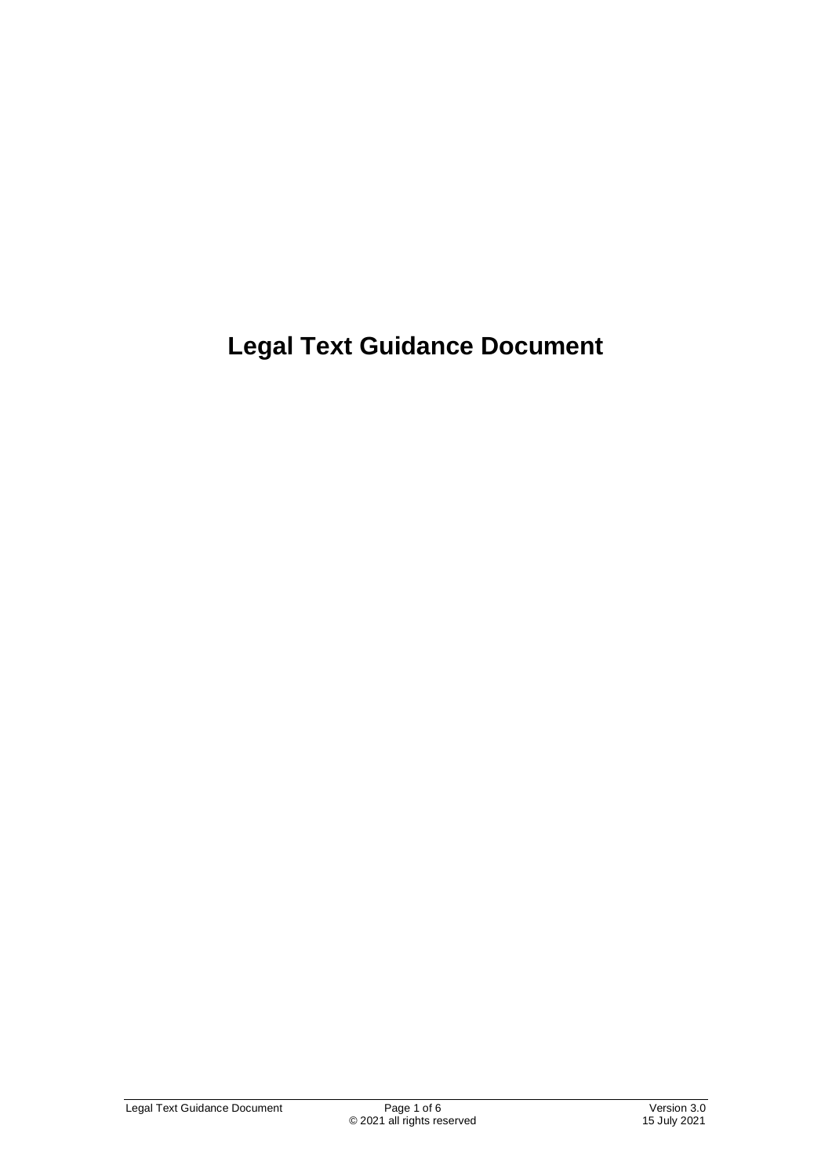**Legal Text Guidance Document**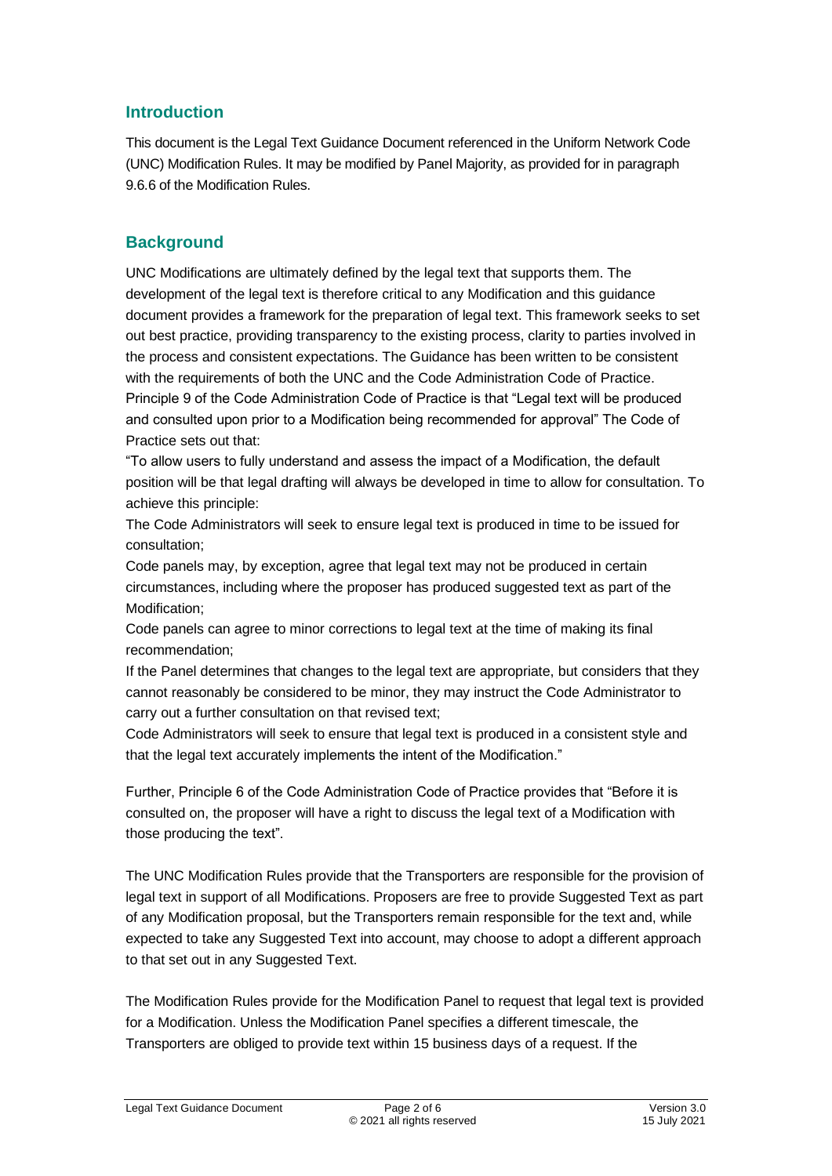### **Introduction**

This document is the Legal Text Guidance Document referenced in the Uniform Network Code (UNC) Modification Rules. It may be modified by Panel Majority, as provided for in paragraph 9.6.6 of the Modification Rules.

### **Background**

UNC Modifications are ultimately defined by the legal text that supports them. The development of the legal text is therefore critical to any Modification and this guidance document provides a framework for the preparation of legal text. This framework seeks to set out best practice, providing transparency to the existing process, clarity to parties involved in the process and consistent expectations. The Guidance has been written to be consistent with the requirements of both the UNC and the Code Administration Code of Practice. Principle 9 of the Code Administration Code of Practice is that "Legal text will be produced and consulted upon prior to a Modification being recommended for approval" The Code of Practice sets out that:

"To allow users to fully understand and assess the impact of a Modification, the default position will be that legal drafting will always be developed in time to allow for consultation. To achieve this principle:

The Code Administrators will seek to ensure legal text is produced in time to be issued for consultation;

Code panels may, by exception, agree that legal text may not be produced in certain circumstances, including where the proposer has produced suggested text as part of the Modification;

Code panels can agree to minor corrections to legal text at the time of making its final recommendation;

If the Panel determines that changes to the legal text are appropriate, but considers that they cannot reasonably be considered to be minor, they may instruct the Code Administrator to carry out a further consultation on that revised text;

Code Administrators will seek to ensure that legal text is produced in a consistent style and that the legal text accurately implements the intent of the Modification."

Further, Principle 6 of the Code Administration Code of Practice provides that "Before it is consulted on, the proposer will have a right to discuss the legal text of a Modification with those producing the text".

The UNC Modification Rules provide that the Transporters are responsible for the provision of legal text in support of all Modifications. Proposers are free to provide Suggested Text as part of any Modification proposal, but the Transporters remain responsible for the text and, while expected to take any Suggested Text into account, may choose to adopt a different approach to that set out in any Suggested Text.

The Modification Rules provide for the Modification Panel to request that legal text is provided for a Modification. Unless the Modification Panel specifies a different timescale, the Transporters are obliged to provide text within 15 business days of a request. If the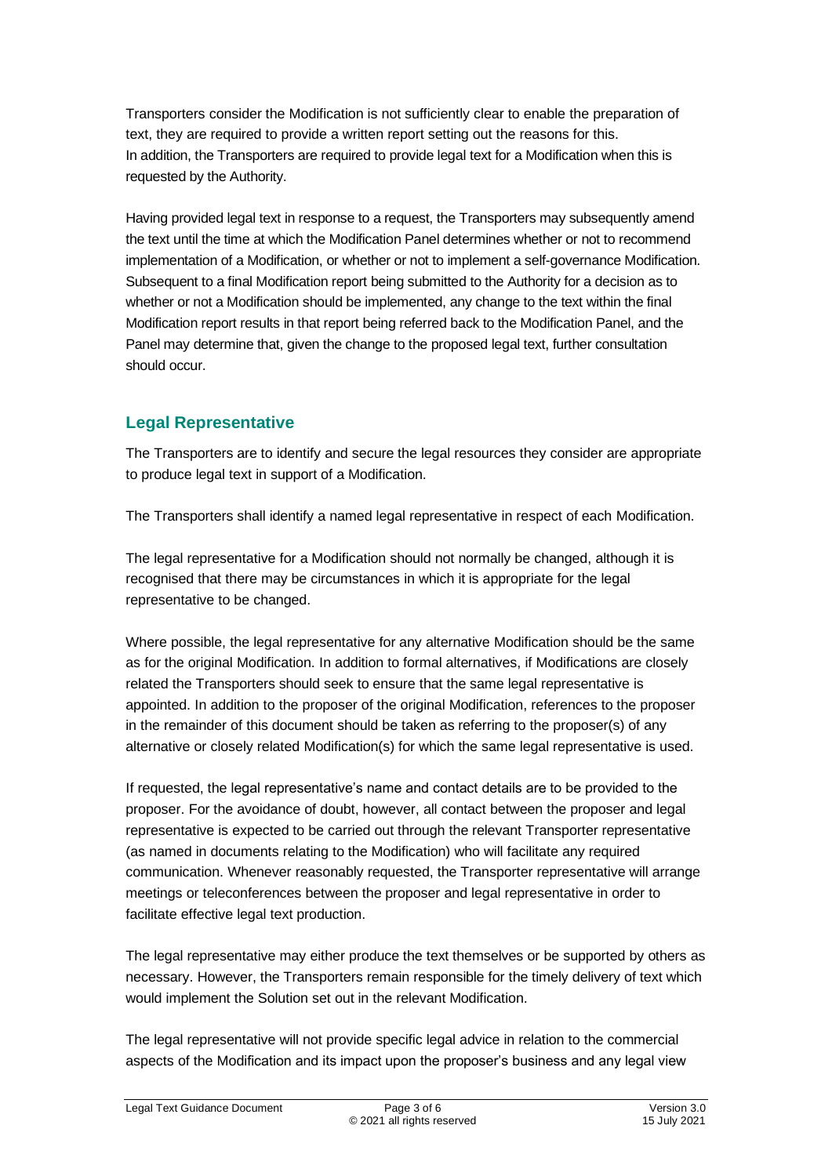Transporters consider the Modification is not sufficiently clear to enable the preparation of text, they are required to provide a written report setting out the reasons for this. In addition, the Transporters are required to provide legal text for a Modification when this is requested by the Authority.

Having provided legal text in response to a request, the Transporters may subsequently amend the text until the time at which the Modification Panel determines whether or not to recommend implementation of a Modification, or whether or not to implement a self-governance Modification. Subsequent to a final Modification report being submitted to the Authority for a decision as to whether or not a Modification should be implemented, any change to the text within the final Modification report results in that report being referred back to the Modification Panel, and the Panel may determine that, given the change to the proposed legal text, further consultation should occur.

# **Legal Representative**

The Transporters are to identify and secure the legal resources they consider are appropriate to produce legal text in support of a Modification.

The Transporters shall identify a named legal representative in respect of each Modification.

The legal representative for a Modification should not normally be changed, although it is recognised that there may be circumstances in which it is appropriate for the legal representative to be changed.

Where possible, the legal representative for any alternative Modification should be the same as for the original Modification. In addition to formal alternatives, if Modifications are closely related the Transporters should seek to ensure that the same legal representative is appointed. In addition to the proposer of the original Modification, references to the proposer in the remainder of this document should be taken as referring to the proposer(s) of any alternative or closely related Modification(s) for which the same legal representative is used.

If requested, the legal representative's name and contact details are to be provided to the proposer. For the avoidance of doubt, however, all contact between the proposer and legal representative is expected to be carried out through the relevant Transporter representative (as named in documents relating to the Modification) who will facilitate any required communication. Whenever reasonably requested, the Transporter representative will arrange meetings or teleconferences between the proposer and legal representative in order to facilitate effective legal text production.

The legal representative may either produce the text themselves or be supported by others as necessary. However, the Transporters remain responsible for the timely delivery of text which would implement the Solution set out in the relevant Modification.

The legal representative will not provide specific legal advice in relation to the commercial aspects of the Modification and its impact upon the proposer's business and any legal view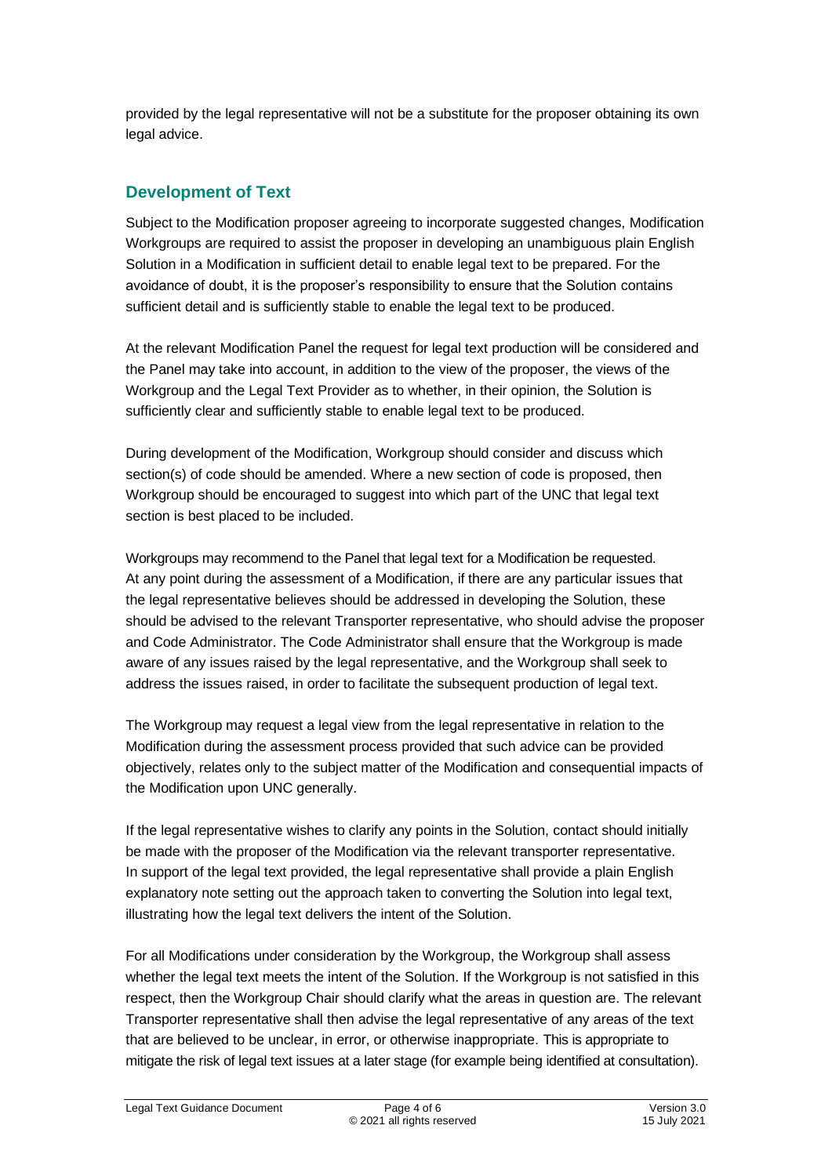provided by the legal representative will not be a substitute for the proposer obtaining its own legal advice.

# **Development of Text**

Subject to the Modification proposer agreeing to incorporate suggested changes, Modification Workgroups are required to assist the proposer in developing an unambiguous plain English Solution in a Modification in sufficient detail to enable legal text to be prepared. For the avoidance of doubt, it is the proposer's responsibility to ensure that the Solution contains sufficient detail and is sufficiently stable to enable the legal text to be produced.

At the relevant Modification Panel the request for legal text production will be considered and the Panel may take into account, in addition to the view of the proposer, the views of the Workgroup and the Legal Text Provider as to whether, in their opinion, the Solution is sufficiently clear and sufficiently stable to enable legal text to be produced.

During development of the Modification, Workgroup should consider and discuss which section(s) of code should be amended. Where a new section of code is proposed, then Workgroup should be encouraged to suggest into which part of the UNC that legal text section is best placed to be included.

Workgroups may recommend to the Panel that legal text for a Modification be requested. At any point during the assessment of a Modification, if there are any particular issues that the legal representative believes should be addressed in developing the Solution, these should be advised to the relevant Transporter representative, who should advise the proposer and Code Administrator. The Code Administrator shall ensure that the Workgroup is made aware of any issues raised by the legal representative, and the Workgroup shall seek to address the issues raised, in order to facilitate the subsequent production of legal text.

The Workgroup may request a legal view from the legal representative in relation to the Modification during the assessment process provided that such advice can be provided objectively, relates only to the subject matter of the Modification and consequential impacts of the Modification upon UNC generally.

If the legal representative wishes to clarify any points in the Solution, contact should initially be made with the proposer of the Modification via the relevant transporter representative. In support of the legal text provided, the legal representative shall provide a plain English explanatory note setting out the approach taken to converting the Solution into legal text, illustrating how the legal text delivers the intent of the Solution.

For all Modifications under consideration by the Workgroup, the Workgroup shall assess whether the legal text meets the intent of the Solution. If the Workgroup is not satisfied in this respect, then the Workgroup Chair should clarify what the areas in question are. The relevant Transporter representative shall then advise the legal representative of any areas of the text that are believed to be unclear, in error, or otherwise inappropriate. This is appropriate to mitigate the risk of legal text issues at a later stage (for example being identified at consultation).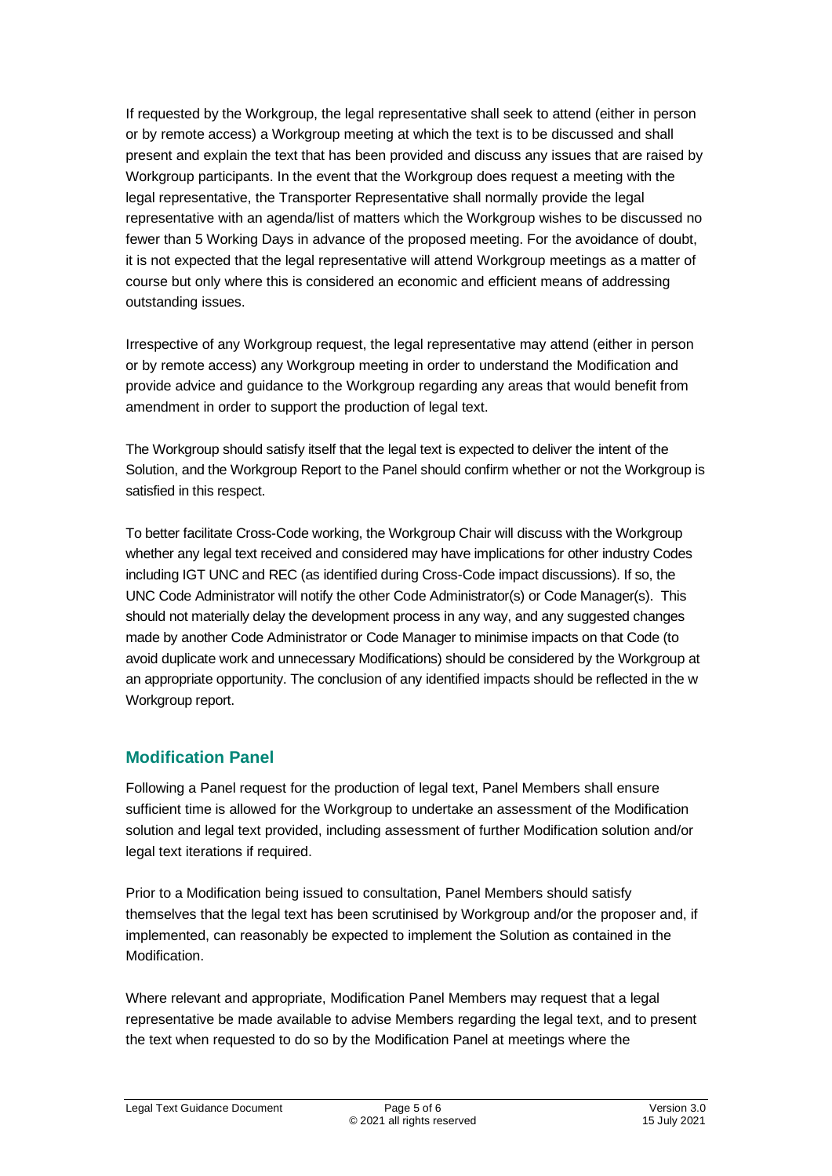If requested by the Workgroup, the legal representative shall seek to attend (either in person or by remote access) a Workgroup meeting at which the text is to be discussed and shall present and explain the text that has been provided and discuss any issues that are raised by Workgroup participants. In the event that the Workgroup does request a meeting with the legal representative, the Transporter Representative shall normally provide the legal representative with an agenda/list of matters which the Workgroup wishes to be discussed no fewer than 5 Working Days in advance of the proposed meeting. For the avoidance of doubt, it is not expected that the legal representative will attend Workgroup meetings as a matter of course but only where this is considered an economic and efficient means of addressing outstanding issues.

Irrespective of any Workgroup request, the legal representative may attend (either in person or by remote access) any Workgroup meeting in order to understand the Modification and provide advice and guidance to the Workgroup regarding any areas that would benefit from amendment in order to support the production of legal text.

The Workgroup should satisfy itself that the legal text is expected to deliver the intent of the Solution, and the Workgroup Report to the Panel should confirm whether or not the Workgroup is satisfied in this respect.

To better facilitate Cross-Code working, the Workgroup Chair will discuss with the Workgroup whether any legal text received and considered may have implications for other industry Codes including IGT UNC and REC (as identified during Cross-Code impact discussions). If so, the UNC Code Administrator will notify the other Code Administrator(s) or Code Manager(s). This should not materially delay the development process in any way, and any suggested changes made by another Code Administrator or Code Manager to minimise impacts on that Code (to avoid duplicate work and unnecessary Modifications) should be considered by the Workgroup at an appropriate opportunity. The conclusion of any identified impacts should be reflected in the w Workgroup report.

# **Modification Panel**

Following a Panel request for the production of legal text, Panel Members shall ensure sufficient time is allowed for the Workgroup to undertake an assessment of the Modification solution and legal text provided, including assessment of further Modification solution and/or legal text iterations if required.

Prior to a Modification being issued to consultation, Panel Members should satisfy themselves that the legal text has been scrutinised by Workgroup and/or the proposer and, if implemented, can reasonably be expected to implement the Solution as contained in the Modification.

Where relevant and appropriate, Modification Panel Members may request that a legal representative be made available to advise Members regarding the legal text, and to present the text when requested to do so by the Modification Panel at meetings where the